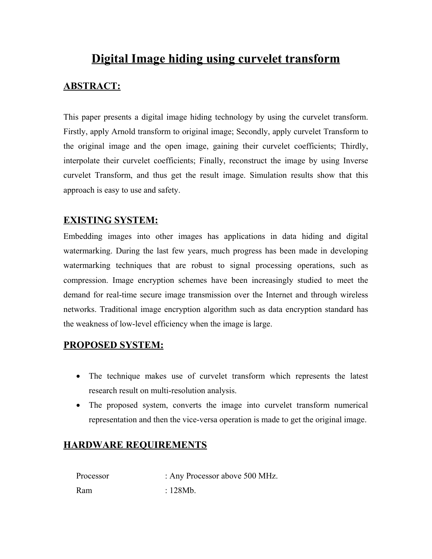# **Digital Image hiding using curvelet transform**

### **ABSTRACT:**

This paper presents a digital image hiding technology by using the curvelet transform. Firstly, apply Arnold transform to original image; Secondly, apply curvelet Transform to the original image and the open image, gaining their curvelet coefficients; Thirdly, interpolate their curvelet coefficients; Finally, reconstruct the image by using Inverse curvelet Transform, and thus get the result image. Simulation results show that this approach is easy to use and safety.

#### **EXISTING SYSTEM:**

Embedding images into other images has applications in data hiding and digital watermarking. During the last few years, much progress has been made in developing watermarking techniques that are robust to signal processing operations, such as compression. Image encryption schemes have been increasingly studied to meet the demand for real-time secure image transmission over the Internet and through wireless networks. Traditional image encryption algorithm such as data encryption standard has the weakness of low-level efficiency when the image is large.

#### **PROPOSED SYSTEM:**

- The technique makes use of curvelet transform which represents the latest research result on multi-resolution analysis.
- The proposed system, converts the image into curvelet transform numerical representation and then the vice-versa operation is made to get the original image.

## **HARDWARE REQUIREMENTS**

Processor : Any Processor above 500 MHz. Ram  $\cdot$  128Mb